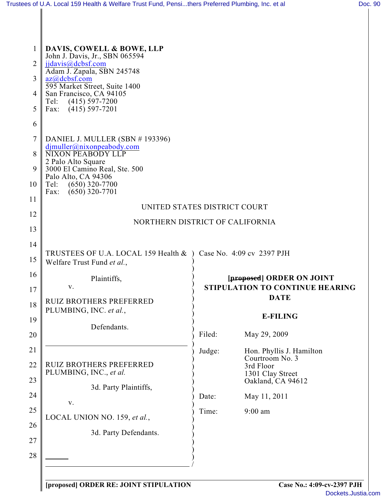| €<br>n<br>ı |  |
|-------------|--|
|             |  |

| 1              | DAVIS, COWELL & BOWE, LLP<br>John J. Davis, Jr., SBN 065594     |        |                                                                     |  |  |
|----------------|-----------------------------------------------------------------|--------|---------------------------------------------------------------------|--|--|
| 2              | jjdavis@dcbsf.com                                               |        |                                                                     |  |  |
| 3              | Adam J. Zapala, SBN 245748<br>az@dcbsf.com                      |        |                                                                     |  |  |
| 4              | 595 Market Street, Suite 1400<br>San Francisco, CA 94105        |        |                                                                     |  |  |
| 5              | $(415) 597 - 7200$<br>Tel:<br>$(415)$ 597-7201<br>Fax:          |        |                                                                     |  |  |
| 6              |                                                                 |        |                                                                     |  |  |
| $\overline{7}$ | DANIEL J. MULLER (SBN #193396)                                  |        |                                                                     |  |  |
| 8              | djmuller@nixonpeabody.com<br><b>NIXON PEABODY LLP</b>           |        |                                                                     |  |  |
| 9              | 2 Palo Alto Square<br>3000 El Camino Real, Ste. 500             |        |                                                                     |  |  |
| 10             | Palo Alto, CA 94306<br>$(650)$ 320-7700<br>Tel:                 |        |                                                                     |  |  |
| 11             | $(650)$ 320-7701<br>Fax:                                        |        |                                                                     |  |  |
| 12             | UNITED STATES DISTRICT COURT                                    |        |                                                                     |  |  |
| 13             | NORTHERN DISTRICT OF CALIFORNIA                                 |        |                                                                     |  |  |
|                |                                                                 |        |                                                                     |  |  |
| 14             | TRUSTEES OF U.A. LOCAL 159 Health & ) Case No. 4:09 cv 2397 PJH |        |                                                                     |  |  |
| 15             | Welfare Trust Fund et al.,                                      |        |                                                                     |  |  |
| 16             | Plaintiffs,<br>v.                                               |        | [proposed] ORDER ON JOINT<br><b>STIPULATION TO CONTINUE HEARING</b> |  |  |
| 17             | <b>RUIZ BROTHERS PREFERRED</b>                                  |        | <b>DATE</b>                                                         |  |  |
| 18             | PLUMBING, INC. et al.,                                          |        | <b>E-FILING</b>                                                     |  |  |
| 19             | Defendants.                                                     |        |                                                                     |  |  |
| 20             |                                                                 | Filed: | May 29, 2009                                                        |  |  |
| 21             |                                                                 | Judge: | Hon. Phyllis J. Hamilton<br>Courtroom No. 3                         |  |  |
| 22             | <b>RUIZ BROTHERS PREFERRED</b><br>PLUMBING, INC., et al.        |        | 3rd Floor<br>1301 Clay Street                                       |  |  |
| 23             | 3d. Party Plaintiffs,                                           |        | Oakland, CA 94612                                                   |  |  |
| 24             | V.                                                              | Date:  | May 11, 2011                                                        |  |  |
| 25             | LOCAL UNION NO. 159, et al.,                                    | Time:  | $9:00$ am                                                           |  |  |
| 26             |                                                                 |        |                                                                     |  |  |
| 27             | 3d. Party Defendants.                                           |        |                                                                     |  |  |
| 28             |                                                                 |        |                                                                     |  |  |
|                |                                                                 |        |                                                                     |  |  |